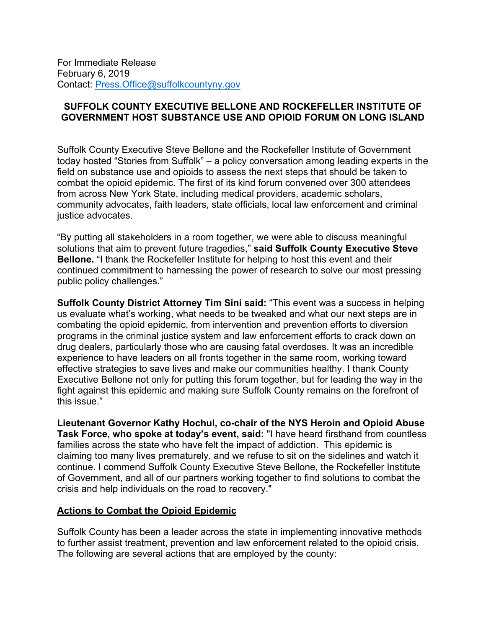For Immediate Release February 6, 2019 Contact: [Press.Office@suffolkcountyny.gov](mailto:Press.Office@suffolkcountyny.gov)

## **SUFFOLK COUNTY EXECUTIVE BELLONE AND ROCKEFELLER INSTITUTE OF GOVERNMENT HOST SUBSTANCE USE AND OPIOID FORUM ON LONG ISLAND**

Suffolk County Executive Steve Bellone and the Rockefeller Institute of Government today hosted "Stories from Suffolk" – a policy conversation among leading experts in the field on substance use and opioids to assess the next steps that should be taken to combat the opioid epidemic. The first of its kind forum convened over 300 attendees from across New York State, including medical providers, academic scholars, community advocates, faith leaders, state officials, local law enforcement and criminal justice advocates.

"By putting all stakeholders in a room together, we were able to discuss meaningful solutions that aim to prevent future tragedies," **said Suffolk County Executive Steve Bellone.** "I thank the Rockefeller Institute for helping to host this event and their continued commitment to harnessing the power of research to solve our most pressing public policy challenges."

**Suffolk County District Attorney Tim Sini said:** "This event was a success in helping us evaluate what's working, what needs to be tweaked and what our next steps are in combating the opioid epidemic, from intervention and prevention efforts to diversion programs in the criminal justice system and law enforcement efforts to crack down on drug dealers, particularly those who are causing fatal overdoses. It was an incredible experience to have leaders on all fronts together in the same room, working toward effective strategies to save lives and make our communities healthy. I thank County Executive Bellone not only for putting this forum together, but for leading the way in the fight against this epidemic and making sure Suffolk County remains on the forefront of this issue."

**Lieutenant Governor Kathy Hochul, co-chair of the NYS Heroin and Opioid Abuse Task Force, who spoke at today's event, said:** "I have heard firsthand from countless families across the state who have felt the impact of addiction. This epidemic is claiming too many lives prematurely, and we refuse to sit on the sidelines and watch it continue. I commend Suffolk County Executive Steve Bellone, the Rockefeller Institute of Government, and all of our partners working together to find solutions to combat the crisis and help individuals on the road to recovery."

## **Actions to Combat the Opioid Epidemic**

Suffolk County has been a leader across the state in implementing innovative methods to further assist treatment, prevention and law enforcement related to the opioid crisis. The following are several actions that are employed by the county: